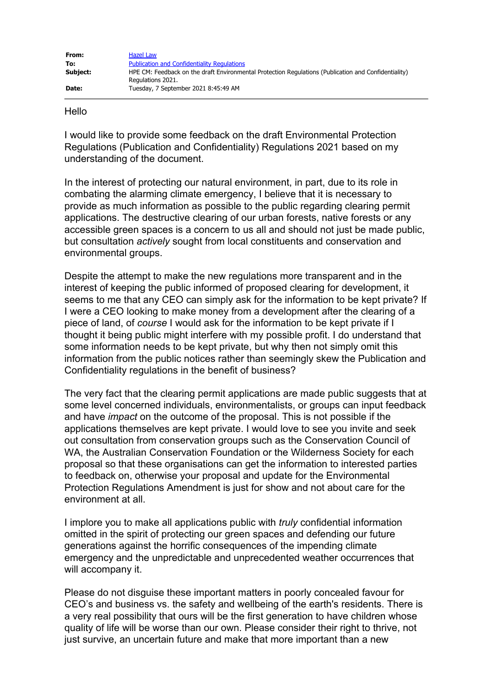| From:    | Hazel Law                                                                                                                 |
|----------|---------------------------------------------------------------------------------------------------------------------------|
| To:      | <b>Publication and Confidentiality Regulations</b>                                                                        |
| Subject: | HPE CM: Feedback on the draft Environmental Protection Regulations (Publication and Confidentiality)<br>Regulations 2021. |
| Date:    | Tuesday, 7 September 2021 8:45:49 AM                                                                                      |

## Hello

I would like to provide some feedback on the draft Environmental Protection Regulations (Publication and Confidentiality) Regulations 2021 based on my understanding of the document.

In the interest of protecting our natural environment, in part, due to its role in combating the alarming climate emergency, I believe that it is necessary to provide as much information as possible to the public regarding clearing permit applications. The destructive clearing of our urban forests, native forests or any accessible green spaces is a concern to us all and should not just be made public, but consultation *actively* sought from local constituents and conservation and environmental groups.

Despite the attempt to make the new regulations more transparent and in the interest of keeping the public informed of proposed clearing for development, it seems to me that any CEO can simply ask for the information to be kept private? If I were a CEO looking to make money from a development after the clearing of a piece of land, of *course* I would ask for the information to be kept private if I thought it being public might interfere with my possible profit. I do understand that some information needs to be kept private, but why then not simply omit this information from the public notices rather than seemingly skew the Publication and Confidentiality regulations in the benefit of business?

The very fact that the clearing permit applications are made public suggests that at some level concerned individuals, environmentalists, or groups can input feedback and have *impact* on the outcome of the proposal. This is not possible if the applications themselves are kept private. I would love to see you invite and seek out consultation from conservation groups such as the Conservation Council of WA, the Australian Conservation Foundation or the Wilderness Society for each proposal so that these organisations can get the information to interested parties to feedback on, otherwise your proposal and update for the Environmental Protection Regulations Amendment is just for show and not about care for the environment at all.

I implore you to make all applications public with *truly* confidential information omitted in the spirit of protecting our green spaces and defending our future generations against the horrific consequences of the impending climate emergency and the unpredictable and unprecedented weather occurrences that will accompany it.

Please do not disguise these important matters in poorly concealed favour for CEO's and business vs. the safety and wellbeing of the earth's residents. There is a very real possibility that ours will be the first generation to have children whose quality of life will be worse than our own. Please consider their right to thrive, not just survive, an uncertain future and make that more important than a new